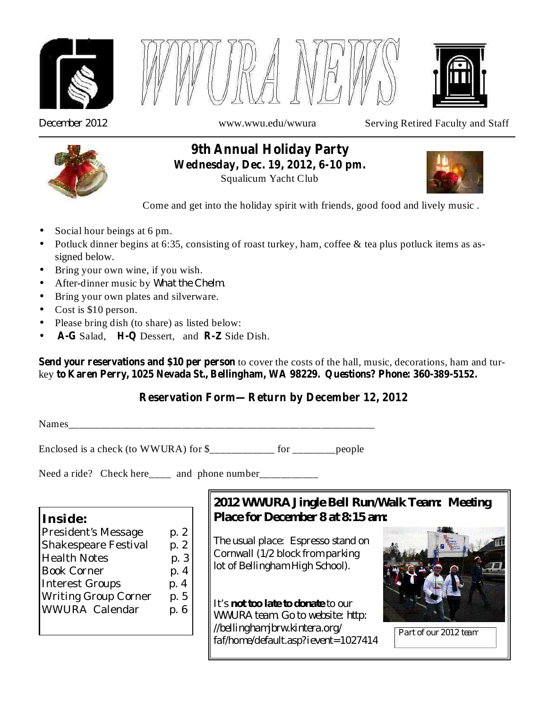





*December 2012*

www.wwu.edu/wwura Serving Retired Faculty and Staff



**9th Annual Holiday Party Wednesday, Dec. 19, 2012, 6-10 pm.**

Squalicum Yacht Club



Come and get into the holiday spirit with friends, good food and lively music .

- Social hour beings at 6 pm. •
- Potluck dinner begins at 6:35, consisting of roast turkey, ham, coffee & tea plus potluck items as assigned below.
- Bring your own wine, if you wish.
- *What the Chelm.* After-dinner music by •
- Bring your own plates and silverware.
- Cost is \$10 person.
- Please bring dish (to share) as listed below: •
- A-G Salad, H-Q Dessert, and R-Z Side Dish. •

**Send your reservations and \$10 per person** to cover the costs of the hall, music, decorations, ham and turkey **to Karen Perry, 1025 Nevada St., Bellingham, WA 98229. Questions? Phone: 360-389-5152.**

## **Reservation Form—Return by December 12, 2012**

Names\_\_\_\_\_\_\_\_\_\_\_\_\_\_\_\_\_\_\_\_\_\_\_\_\_\_\_\_\_\_\_\_\_\_\_\_\_\_\_\_\_\_\_\_\_\_\_\_\_\_\_\_\_\_\_\_\_

Enclosed is a check (to WWURA) for \$\_\_\_\_\_\_\_\_\_\_\_\_ for \_\_\_\_\_\_\_\_people

Need a ride? Check here\_\_\_\_ and phone number\_\_\_\_\_\_\_\_\_\_\_\_

**Inside:**

President's Message p. 2 Shakespeare Festival p. 2 Health Notes b. 3 Book Corner p. 4 Interest Groups b. 4 Writing Group Corner p. 5 WWURA Calendar p. 6

# *2012 WWURA Jingle Bell Run/Walk Team: Meeting Place for December 8 at 8:15 am:*

*The usual place: Espresso stand on Cornwall (1/2 block from parking lot of Bellingham High School).*

It's **not too late to donate** to our *WWURA team. Go to website: http: //bellinghamjbrw.kintera.org/ faf/home/default.asp?ievent=1027414*



*Part of our 2012 team*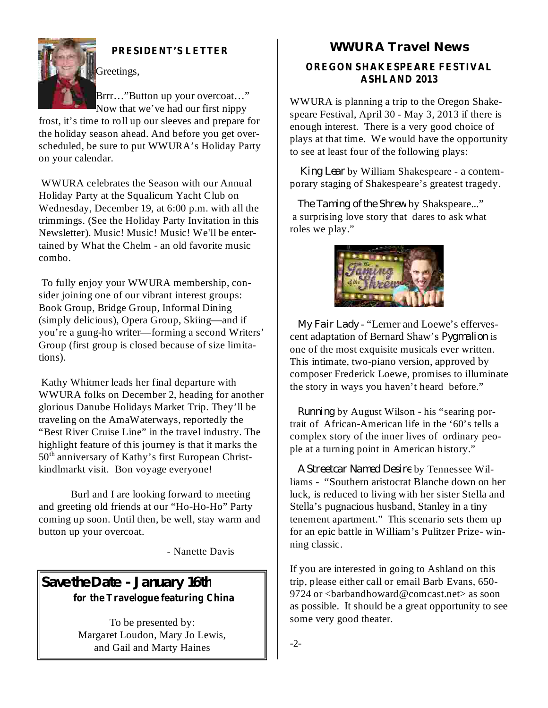

## **PRESIDENT'S LETTER**

Greetings,

Brrr…"Button up your overcoat…" Now that we've had our first nippy

frost, it's time to roll up our sleeves and prepare for the holiday season ahead. And before you get overscheduled, be sure to put WWURA's Holiday Party on your calendar.

WWURA celebrates the Season with our Annual Holiday Party at the Squalicum Yacht Club on Wednesday, December 19, at 6:00 p.m. with all the trimmings. (See the Holiday Party Invitation in this Newsletter). Music! Music! Music! We'll be entertained by What the Chelm - an old favorite music combo.

To fully enjoy your WWURA membership, consider joining one of our vibrant interest groups: Book Group, Bridge Group, Informal Dining (simply delicious), Opera Group, Skiing—and if you're a gung-ho writer—forming a second Writers' Group (first group is closed because of size limitations).

Kathy Whitmer leads her final departure with WWURA folks on December 2, heading for another glorious Danube Holidays Market Trip. They'll be traveling on the AmaWaterways, reportedly the "Best River Cruise Line" in the travel industry. The highlight feature of this journey is that it marks the 50<sup>th</sup> anniversary of Kathy's first European Christkindlmarkt visit. Bon voyage everyone!

Burl and I are looking forward to meeting and greeting old friends at our "Ho-Ho-Ho" Party coming up soon. Until then, be well, stay warm and button up your overcoat.

- Nanette Davis

# **for the Travelogue featuring China Save the Date - January 16th**

To be presented by: Margaret Loudon, Mary Jo Lewis, and Gail and Marty Haines

## **WWURA Travel News**

#### **OREGON SHAKESPEARE FESTIVAL ASHLAND 2013**

WWURA is planning a trip to the Oregon Shakespeare Festival, April 30 - May 3, 2013 if there is enough interest. There is a very good choice of plays at that time. We would have the opportunity to see at least four of the following plays:

by William Shakespeare - a contem-*King Lear* porary staging of Shakespeare's greatest tragedy.

by Shakspeare..." *The Taming of the Shrew* a surprising love story that dares to ask what roles we play."



- "Lerner and Loewe's efferves-*My Fair Lady* cent adaptation of Bernard Shaw's *Pygmalion* is one of the most exquisite musicals ever written. This intimate, two-piano version, approved by composer Frederick Loewe, promises to illuminate the story in ways you haven't heard before."

by August Wilson - his "searing por-*Running* trait of African-American life in the '60's tells a complex story of the inner lives of ordinary people at a turning point in American history."

by Tennessee Wil-*A Streetcar Named Desire* liams - "Southern aristocrat Blanche down on her luck, is reduced to living with her sister Stella and Stella's pugnacious husband, Stanley in a tiny tenement apartment." This scenario sets them up for an epic battle in William's Pulitzer Prize- winning classic.

If you are interested in going to Ashland on this trip, please either call or email Barb Evans, 650- 9724 or <br/>barbandhoward@comcast.net> as soon as possible. It should be a great opportunity to see some very good theater.

-2-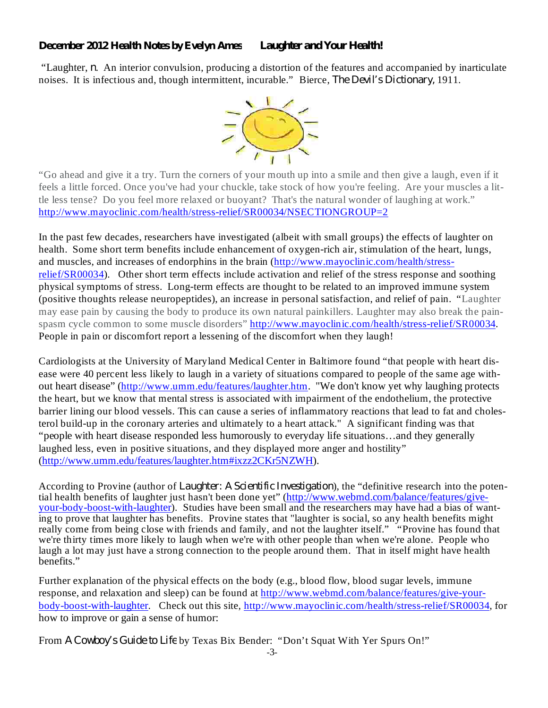#### *December 2012 Health Notes by Evelyn Ames Laughter and Your Health!*

"Laughter, *n*. An interior convulsion, producing a distortion of the features and accompanied by inarticulate noises. It is infectious and, though intermittent, incurable." Bierce, *The Devil's Dictionary*, 1911.



"Go ahead and give it a try. Turn the corners of your mouth up into a smile and then give a laugh, even if it feels a little forced. Once you've had your chuckle, take stock of how you're feeling. Are your muscles a little less tense? Do you feel more relaxed or buoyant? That's the natural wonder of laughing at work." http://www.mayoclinic.com/health/stress-relief/SR00034/NSECTIONGROUP=2

In the past few decades, researchers have investigated (albeit with small groups) the effects of laughter on health. Some short term benefits include enhancement of oxygen-rich air, stimulation of the heart, lungs, and muscles, and increases of endorphins in the brain (http://www.mayoclinic.com/health/stressrelief/SR00034). Other short term effects include activation and relief of the stress response and soothing physical symptoms of stress. Long-term effects are thought to be related to an improved immune system (positive thoughts release neuropeptides), an increase in personal satisfaction, and relief of pain. "Laughter may ease pain by causing the body to produce its own natural painkillers. Laughter may also break the painspasm cycle common to some muscle disorders" http://www.mayoclinic.com/health/stress-relief/SR00034. People in pain or discomfort report a lessening of the discomfort when they laugh!

Cardiologists at the University of Maryland Medical Center in Baltimore found "that people with heart disease were 40 percent less likely to laugh in a variety of situations compared to people of the same age without heart disease" (http://www.umm.edu/features/laughter.htm. "We don't know yet why laughing protects the heart, but we know that mental stress is associated with impairment of the endothelium, the protective barrier lining our blood vessels. This can cause a series of inflammatory reactions that lead to fat and cholesterol build-up in the coronary arteries and ultimately to a heart attack." A significant finding was that "people with heart disease responded less humorously to everyday life situations…and they generally laughed less, even in positive situations, and they displayed more anger and hostility" (http://www.umm.edu/features/laughter.htm#ixzz2CKr5NZWH).

According to Provine (author of *Laughter: A Scientific Investigation*), the "definitive research into the potential health benefits of laughter just hasn't been done yet" (http://www.webmd.com/balance/features/giveyour-body-boost-with-laughter). Studies have been small and the researchers may have had a bias of wanting to prove that laughter has benefits. Provine states that "laughter is social, so any health benefits might really come from being close with friends and family, and not the laughter itself." "Provine has found that we're thirty times more likely to laugh when we're with other people than when we're alone. People who laugh a lot may just have a strong connection to the people around them. That in itself might have health benefits."

Further explanation of the physical effects on the body (e.g., blood flow, blood sugar levels, immune response, and relaxation and sleep) can be found at http://www.webmd.com/balance/features/give-yourbody-boost-with-laughter. Check out this site, http://www.mayoclinic.com/health/stress-relief/SR00034, for how to improve or gain a sense of humor:

From A Cowboy's Guide to Life by Texas Bix Bender: "Don't Squat With Yer Spurs On!"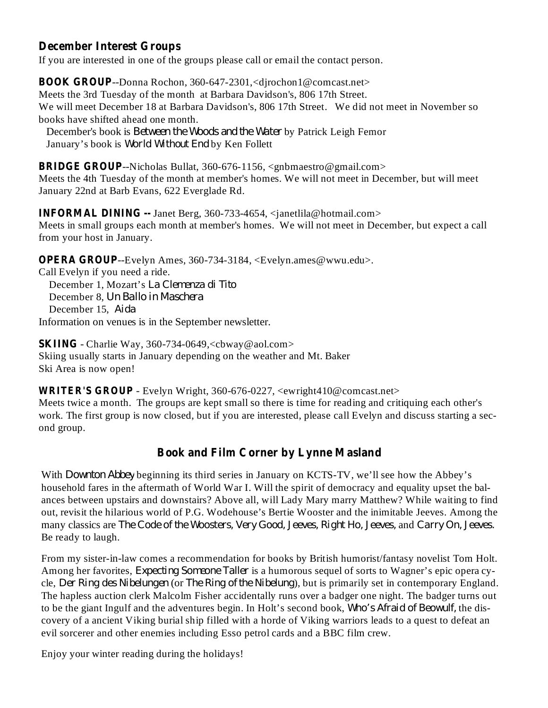#### **December Interest Groups**

If you are interested in one of the groups please call or email the contact person.

**BOOK GROUP** --Donna Rochon, 360-647-2301,<djrochon1@comcast.net> Meets the 3rd Tuesday of the month at Barbara Davidson's, 806 17th Street. We will meet December 18 at Barbara Davidson's, 806 17th Street. We did not meet in November so books have shifted ahead one month.

December's book is *Between the Woods and the Water* by Patrick Leigh Femor January's book is *World Without End* by Ken Follett

**BRIDGE GROUP**--Nicholas Bullat, 360-676-1156, <gnbmaestro@gmail.com> Meets the 4th Tuesday of the month at member's homes. We will not meet in December, but will meet January 22nd at Barb Evans, 622 Everglade Rd.

**INFORMAL DINING --** Janet Berg, 360-733-4654, <janetlila@hotmail.com> Meets in small groups each month at member's homes. We will not meet in December, but expect a call from your host in January.

**OPERA GROUP**--Evelyn Ames, 360-734-3184, <Evelyn.ames@wwu.edu>.

Call Evelyn if you need a ride. December 1, Mozart's *La Clemenza di Tito* December 8, *Un Ballo in Maschera* December 15, *Aida* Information on venues is in the September newsletter.

**SKIING** - Charlie Way, 360-734-0649,<cbway@aol.com> Skiing usually starts in January depending on the weather and Mt. Baker Ski Area is now open!

**WRITER'S GROUP** - Evelyn Wright, 360-676-0227, <ewright410@comcast.net> Meets twice a month. The groups are kept small so there is time for reading and critiquing each other's work. The first group is now closed, but if you are interested, please call Evelyn and discuss starting a second group.

## **Book and Film Corner by Lynne Masland**

With *Downton Abbey* beginning its third series in January on KCTS-TV, we'll see how the Abbey's household fares in the aftermath of World War I. Will the spirit of democracy and equality upset the balances between upstairs and downstairs? Above all, will Lady Mary marry Matthew? While waiting to find out, revisit the hilarious world of P.G. Wodehouse's Bertie Wooster and the inimitable Jeeves. Among the many classics are and *The Code of the Woosters, Very Good, Jeeves, Right Ho, Jeeves, Carry On, Jeeves.* Be ready to laugh.

From my sister-in-law comes a recommendation for books by British humorist/fantasy novelist Tom Holt. Among her favorites, *Expecting Someone Taller* is a humorous sequel of sorts to Wagner's epic opera cycle, *Der Ring des Nibelungen* (or *The Ring of the Nibelung*), but is primarily set in contemporary England. The hapless auction clerk Malcolm Fisher accidentally runs over a badger one night. The badger turns out to be the giant Ingulf and the adventures begin. In Holt's second book, Who's Afraid of Beowulf, the discovery of a ancient Viking burial ship filled with a horde of Viking warriors leads to a quest to defeat an evil sorcerer and other enemies including Esso petrol cards and a BBC film crew.

Enjoy your winter reading during the holidays!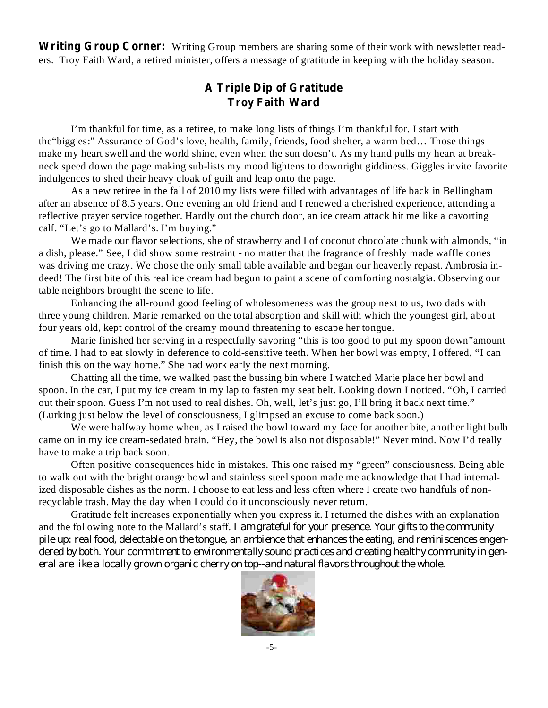**Writing Group Corner:** Writing Group members are sharing some of their work with newsletter readers. Troy Faith Ward, a retired minister, offers a message of gratitude in keeping with the holiday season.

## **A Triple Dip of Gratitude Troy Faith Ward**

I'm thankful for time, as a retiree, to make long lists of things I'm thankful for. I start with the"biggies:" Assurance of God's love, health, family, friends, food shelter, a warm bed… Those things make my heart swell and the world shine, even when the sun doesn't. As my hand pulls my heart at breakneck speed down the page making sub-lists my mood lightens to downright giddiness. Giggles invite favorite indulgences to shed their heavy cloak of guilt and leap onto the page.

As a new retiree in the fall of 2010 my lists were filled with advantages of life back in Bellingham after an absence of 8.5 years. One evening an old friend and I renewed a cherished experience, attending a reflective prayer service together. Hardly out the church door, an ice cream attack hit me like a cavorting calf. "Let's go to Mallard's. I'm buying."

We made our flavor selections, she of strawberry and I of coconut chocolate chunk with almonds, "in a dish, please." See, I did show some restraint - no matter that the fragrance of freshly made waffle cones was driving me crazy. We chose the only small table available and began our heavenly repast. Ambrosia indeed! The first bite of this real ice cream had begun to paint a scene of comforting nostalgia. Observing our table neighbors brought the scene to life.

Enhancing the all-round good feeling of wholesomeness was the group next to us, two dads with three young children. Marie remarked on the total absorption and skill with which the youngest girl, about four years old, kept control of the creamy mound threatening to escape her tongue.

Marie finished her serving in a respectfully savoring "this is too good to put my spoon down"amount of time. I had to eat slowly in deference to cold-sensitive teeth. When her bowl was empty, I offered, "I can finish this on the way home." She had work early the next morning.

Chatting all the time, we walked past the bussing bin where I watched Marie place her bowl and spoon. In the car, I put my ice cream in my lap to fasten my seat belt. Looking down I noticed. "Oh, I carried out their spoon. Guess I'm not used to real dishes. Oh, well, let's just go, I'll bring it back next time." (Lurking just below the level of consciousness, I glimpsed an excuse to come back soon.)

We were halfway home when, as I raised the bowl toward my face for another bite, another light bulb came on in my ice cream-sedated brain. "Hey, the bowl is also not disposable!" Never mind. Now I'd really have to make a trip back soon.

Often positive consequences hide in mistakes. This one raised my "green" consciousness. Being able to walk out with the bright orange bowl and stainless steel spoon made me acknowledge that I had internalized disposable dishes as the norm. I choose to eat less and less often where I create two handfuls of nonrecyclable trash. May the day when I could do it unconsciously never return.

Gratitude felt increases exponentially when you express it. I returned the dishes with an explanation and the following note to the Mallard's staff. *I am grateful for your presence. Your gifts to the community* pile up: real food, delectable on the tongue, an ambience that enhances the eating, and reminiscences engen*dered by both. Your commitment to environmentally sound practices and creating healthy community in general are like a locally grown organic cherry on top--and natural flavors throughout the whole.*